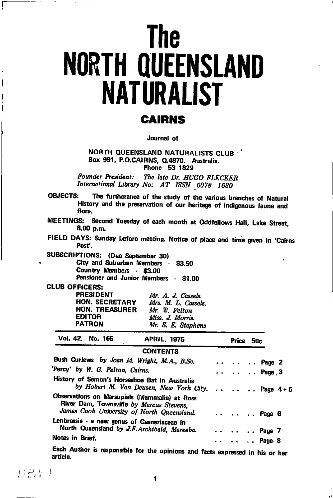# **The NORTH QUEENSLAND NATURALIST**

# **CAIRNS**

Journal of

NORTH QUEENSLAND NATURALISTS CLUB Box 991, P.O.CAIRNS, Q.4870, Australia. Phone 53 1829

**Founder President:** The late Dr. HUGO FLECKER International Library No: AT ISSN 0078 1630

**OBJECTS:** The furtherance of the study of the various branches of Natural History and the preservation of our heritage of indigenous fauna and flora.

MEETINGS: Second Tuesday of each month at Oddfellows Hall, Lake Street, 8.00 p.m.

FIELD DAYS: Sunday before meeting. Notice of place and time given in 'Cairns Post'.

SUBSCRIPTIONS: (Due September 30) City and Suburban Members - \$3.50 Country Members - \$3.00 Pensioner and Junior Members - \$1.00

**CLUB OFFICERS:** 

| <b>PRESIDENT</b>      | Mr. A. J. Cassels.  |
|-----------------------|---------------------|
| <b>HON. SECRETARY</b> | Mrs. M. L. Cassels. |
| <b>HON, TREASURER</b> | Mr. W. Felton       |
| <b>EDITOR</b>         | Miss. J. Morris.    |
| <b>PATRON</b>         | Mr. S. E. Stephens  |

|                 | Vol. 42. No. 165                     | <b>APRIL, 1975</b>                                                                                                                      | Price 50c                         |  |  |
|-----------------|--------------------------------------|-----------------------------------------------------------------------------------------------------------------------------------------|-----------------------------------|--|--|
|                 |                                      | <b>CONTENTS</b>                                                                                                                         |                                   |  |  |
|                 |                                      | Bush Curlews by Joan M. Wright, M.A., B.Sc.                                                                                             | $\cdots$ $\cdots$ $\cdots$ Page 2 |  |  |
|                 | Percy' by W. G. Felton, Cairns.      |                                                                                                                                         | $ $ $Page 3$                      |  |  |
|                 |                                      | History of Sémon's Horseshoe Bat in Australia<br>by Hobart M. Van Deusen, New York City. Page 4 + 5                                     |                                   |  |  |
|                 |                                      | Observations on Marsupials (Mammalia) at Ross<br>River Dam, Townsville by Marcus Stevens,<br>James Cook University of North Queensland. | Page 6                            |  |  |
|                 |                                      | Lenbrassia - a new genus of Gesneriaceae in                                                                                             |                                   |  |  |
|                 |                                      | North Queensland by J.F.Archibald, Mareeba.                                                                                             | $ $ $$ Page 7                     |  |  |
| Notes in Brief. |                                      |                                                                                                                                         | Page 8                            |  |  |
|                 | Eogh Audhau ta caccare a component a |                                                                                                                                         |                                   |  |  |

Each Author is responsible for the opinions and facts expressed in his or her article.

見召呈)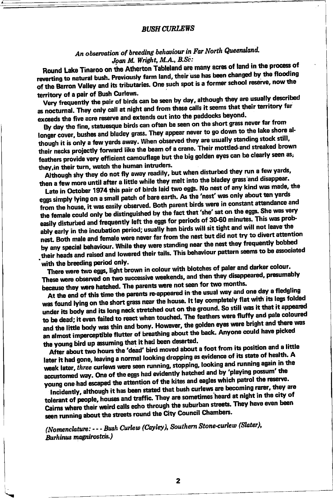#### **BUSH CURLEWS**

## An observation of breeding behaviour in Far North Queensland. Joan M. Wright, M.A., B.Sc:

Round Lake Tinaroo on the Atherton Tableland are many acres of land in the process of reverting to natural bush. Previously farm land, their use has been changed by the flooding of the Barron Valley and its tributaries. One such spot is a former school reserve, now the territory of a pair of Bush Curlews.

Very frequently the pair of birds can be seen by day, although they are usually described as nocturnal. They only call at night and from these calls it seems that their territory far exceeds the five acre reserve and extends out into the paddocks beyond.

By day the fine, statuesque birds can often be seen on the short grass never far from longer cover, bushes and bladey grass. They appear never to go down to the lake shore although it is only a few yards away. When observed they are usually standing stock still, their necks projectly forward like the beam of a crane. Their mottled and streaked brown feathers provide very efficient camouflage but the big golden eyes can be clearly seen as, they, in their turn, watch the human intruders.

Although shy they do not fly away readily, but when disturbed they run a few yards, then a few more until after a little while they melt into the bladey grass and disappear.

Late in October 1974 this pair of birds laid two eggs. No nest of any kind was made, the eggs simply lying on a small patch of bare earth. As the 'nest' was only about ten yards from the house, it was easily observed. Both parent birds were in constant attendance and the female could only be distinguished by the fact that 'she' sat on the eggs. She was very easily disturbed and frequently left the eggs for periods of 30-60 minutes. This was probably early in the incubation period; usually hen birds will sit tight and will not leave the nest. Both male and female were never far from the nest but did not try to divert attention by any special behaviour. While they were standing near the nest they frequently bobbed their heads and raised and lowered their tails. This behaviour pattern seems to be associated with the breeding period only.

There were two eggs, light brown in colour with blotches of paler and darker colour. These were observed on two successive weekends, and then they disappeared, presumably because they were hatched. The parents were not seen for two months.

At the end of this time the parents re-appeared in the usual way and one day a fledgling was found lying on the short grass near the house. It lay completely flat with its legs folded under its body and its long neck stretched out on the ground. So still was it that it appeared to be dead; it even failed to react when touched. The feathers were fluffy and pale coloured and the little body was thin and bony. However, the golden eyes were bright and there was an almost imperceptible flutter of breathing about the back. Anyone could have picked the young bird up assuming that it had been deserted.

After about two hours the 'dead' bird moved about a foot from its position and a little later it had gone, leaving a normal looking dropping as evidence of its state of health. A week later, three curlews were seen running, stopping, looking and running again in the accustomed way. One of the eggs had evidently hatched and by 'playing possum' the young one had escaped the attention of the kites and eagles which patrol the reserve.

Incidently, although it has been stated that bush curlews are becoming rarer, they are tolerant of people, houses and traffic. They are sometimes heard at night in the city of Cairns where their weird calls echo through the suburban streets. They have even been seen running about the streets round the City Council Chambers.

(Nomenclature: --- Bush Curlew (Cayley), Southern Stone-curlew (Slater), Burhinus magnirostris.)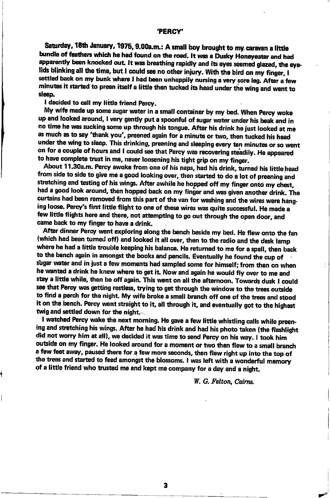#### ,PERCY'

Saturday, 18th January, 1975, 9.00a.m.: A small boy brought to my caravan a little bundle of feathers which he had found on the road. It was a Dusky Honeyeater and had apparently been knocked out. It was breathing rapidly and its eyes seemed glazed, the eyelids blinking all the time, but.I could see no other injury. With the bird on my finger, I<br>settled back on my bunk where I had been unhappily nursing a very sore leg. After a few minutes it started to preen itself a little then tucked its head under the wing and went to sleep.

I decided to call my little friend Percy.

My wife made up some sugar water in a small container by my bed. When Percy woke up and looked around, I very gently put a spoonful of sugar water under his beak and in no time he was sucking some up through his tongue. After his drink he just looked at me as much as to say 'thank you', preened again for a minute or two, then tucked his head under the wing to sleep. This drinking, preening and sleeping every ten minutes or so went on for a couple of hours and I could see that Percy was recovering steadily. He appeared to have complete trust in me, never loosening his tight grip on my finger.

About 11.30a.m. Percy awoke from one of his naps, had his drink, turned his little head from side to side to give me a good looking over, then started to do a lot of preening and stretching and testing of his wings. After awhile he hopped off my finger onto my chest, had a good look around, then hopped back on my finger and was given another drink. The curtains had been removed from this part of the van for washing and the wires were hanging loose. Percy's first little flight to one of these wires was quite successful. He made a few little flights here and there, not attempting to go out through the open door, and came back to my finger to have a drink.

After dinner Percy went exploring along the bench beside my bed. He flew onto the fan (which had been turned off) and looked it all over, then to the radio and the desk lamp where he had a little trouble keeping his balance. He returned to me for a spell, then back to the bench again in amongst the books and pencils. Eventually he found the cup of stgar uater and in just a few moments had sampled some for himsetf; from then on when he wanted a drink he knew where to get it. Now and again he would fly over to me and stay a little while, then be off again. This went on all the afternoon. Towards dusk I could see that Percy was getting restless, trying to get through the window to the trees outside to find a perch for the night. My wife broke a small branch off one of the trees and stood it on the bench. Percy went straight to it, all through it, and eventually got to the highest twig and settled down for the night; $\sim$ 

I watched Percy wake the next morning. He gave a few little whistling calls while preening and stretching his wings. After he had his drink and had his photo taken (the flashlight did not worry him at all), we decided it was time to send Percy on his way. I took him outside on my finger. He looked around for a moment or two then flew to a small branch a few feet away, paused there for a few more seconds, then flew right up into the top of the trees and started to feed amongst the blossoms. I was left with a wonderful memory of a little friend who trusted me and kept me company for a day and a night.

W. G. Felton. Cairns.

شی

3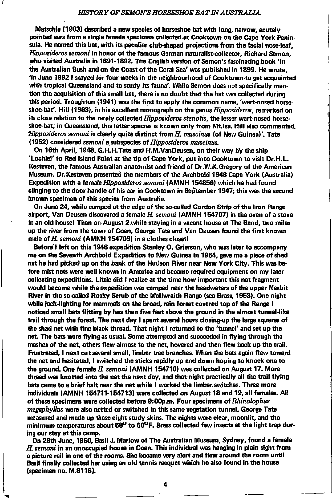#### HISTORY OF SEMON'S HORSESHOE BAT IN AUSTRALIA.

Matschie (1903) described a new species of horseshoe bat with long, narrow, acutely pointed ears from a single female specimen collected at Cooktown on the Cape York Peninsula. He named this bat, with its peculiar club-shaped projections from the facial nose-leaf. Hipposideros semoni in honor of the famous German naturalist-collector, Richard Semon, who visited Australia in 1891-1892. The English version of Semon's fascinating book 'In the Australian Bush and on the Coast of the Coral Sea' was published in 1899. He wrote, 'in June 1892 I stayed for four weeks in the neighbourhood of Cooktown to get acquainted with tropical Queensland and to study its fauna'. While Semon does not specifically mention the acquisition of this small bat, there is no doubt that the bat was collected during this period. Troughton (1941) was the first to apply the common name, 'wart-nosed horseshoe-bat'. Hill (1963), in his excellent monograph on the genus *Hipposideros*, remarked on its close relation to the rarely collected *Hipposideros stenotis*, the lesser wart-nosed horseshoe-bat; in Queensland, this latter species is known only from Mt, Isa. Hill also commented. *Hipposideros semoni is clearly quite distinct from H. muscinus (of New Guinea)'.* Tate  $(1952)$  considered semoni a subspecies of Hipposideros muscinus.

On 16th April, 1948, G.H.H.Tate and H.M.VanDeusen, on their way by the ship 'Lochlef'to Red lsland Point at the tip of Capg York, put into Cooktown to visit Dr.H.L. Kesteven, the famous Australian anatomist and friend of Dr.W.K.Gregory of the American Museum. Dr. Kesteven presented the members of the Archbold 1948 Cape York (Australia) Expedition with a female *Hipposideros semoni* (AMNH 154856) which he had found clinging to the door handle of his car in Cooktown in September 1947; this was the second known specimen of this species from Australia.

On June 24, while camped at the edge of the so-called Gordon Strip of the lron Range airport, Van Deusen discovered a female H. semoni (AMNH 154707) in the oven of a stove in an old house! Then on August 2 while staying in a vacant house at The Bend, two miles up the river from tte town of Coen, George Tate and Van Deusen found the first known male of  $H$  semoni (AMNH 154709) in a clothes closet!

Before I left on this 1948 expedition Stanley O. Grierson, who was later to accompany me on the Seventh Archbold Expedition to New Guinea in 1964, gave me a piece of shad net he had picked up on the bank of the Hudson River near New York City. This was before mist nets were well known in America and became required equipment on my later collecting expeditions. Little did I realize at the time how important this net fragment would become while the expedition was camped near the headwaters of the upper Nesbit River in ftasooallsl Rocky Scrub of the Mcllwraitt Range (ses Brass, 1953). One night while jack-lighting for mammals on the broad, rain forest covered top of the Range I noticed small bats flitting by less than five feet above the ground in the almost tunnel-like trail through the forest. The next day I spent several hours closing-up the large squares of the shad net with fine black thread. That night I returned to the 'tunnel' and set up the net. The bats were flying as usual. Some attempted and succeeded in flying through the meshes of the net, others flew almost to the net, hovered and then flew back up the trail. Frustrated, I next cut several small, limber tree branches. When the bats again flew toward the net and hesitated, I switched the sticks rapidly up and down hoping to knock one to the ground. One female  $H$ , semoni (AMNH 154710) was collected on August 17. More thread was knotted into the net the next day, and that night practically all the trail-flying bats came to a brief halt near the net while I worked the limber switches. Three more individuals (AMNH 154711-154713) were collected on August 18 and 19, all females. All of these specimens were collected before 9:00p.m. Four specimens of Rhinolophus  $meq$  *megaphyllus* were also netted or switched in this same vegetation tunnel. George Tate measured and made up these eight study skins. The nights were clear, moonlit, and the minimum temperatures about  $58^{\circ}$  to  $60^{\circ}$  F. Brass collected few insects at the light trap during our stay at this camp.

On 28th June, 1960, Basil J. Marlow of The Australian Museum, Sydney, found a female  $H$  semoni in an unoccupied house in Coen. This individual was hanging in plain sight from a picture rail in one of the rooms. She became very alert and flew around the room until Basil finally collected her using an old tennis racquet which he also found in the house  $(s$ pecimen no.  $M.8116$ .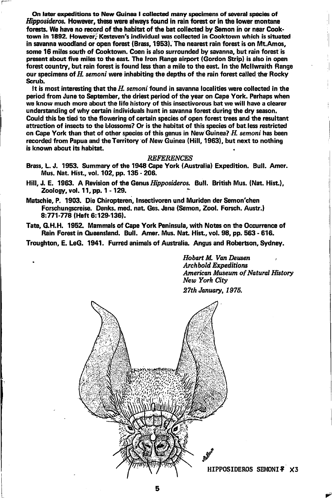On later expeditions to New Guinea I collected many specimens of several species of *Hipposideros*, However, these were always found in rain forest or in the lower montane forests. We have no record of the habitat of the bat collected by Semon in or near Cooktown in 1892. However: Kesteven's individual was collected in Cooktown which is situated in savanna woodland or open forest (Brass, 1953). The nearest rain forest is on Mt.Amos, some 16 miles south of Cooktown. Coen is also surrounded by savanna, but rain forest is present about five miles to the east. The Iron Range airport (Gordon Strip) is also in open forest country, but rain forest is found less than a mile to the east. In the McIlwraith Range our specimens of H, semoni were inhabiting the depths of the rain forest called the Rocky Scrub.

It is most interesting that the  $H$ , semoni found in savanna localities were collected in the period from June to September, the driest period of the year on Cape York. Perhaps when we know much more about the life history of this insetivorous bat we will have a clearer understanding of why certain individuals hunt in savanna forest during the dry season. Could this be tied to the flowering of certain species of open forest trees and the resultant attraction of insects to the blossoms? Or is the habitat of this species of bat.less restricted on Cape York than that of other species of this genus in New Guinea?  $H$ . semoni has been recorded from Papua and the Territory of New Guinea (Hill, 1963), but next to nothing is known about its habitat.

#### **REFERENCES**

- Brass, L. J. 1953. Summary of the 1948 Cape York (Australia) Expedition. Bull. Amer. Mus. Nat Hist., vol. 102, pp. 135 - 206.
- Hill, J. E. 1963. A Revision of the Genus *Hipposideros.* Bull. British Mus. (Nat. Hist.). Zoology, vol. 11, pp. 1 - 129.
- Matschie, P. 1903. Die Chiropteren, Insetivoren und Muriden der Semon'chen Forschungscreise. Denks. med. nat. Ges. Jena (Semon. Zool. Forsch. Austr.) 8:771-778 (Heft 6:129-136).
- Tate, G.H.H. 1952. Mammals of Cape York Peninsula, with Notes on the Occurrence of Rain Forest in Queensland. Bull. Amer. Mus. Nat. Hist., vol. 98, pp. 563 - 616.

Troughton, E. LeG. 1941. Furred animals of Australia. Angus and Robertson, Sydney.

Hobart M. Van Deusen **Archbold Expeditions** American Museum of Natural History New York City

27th January, 1976.



HIPPOSIDEROS SEMONI? X3

-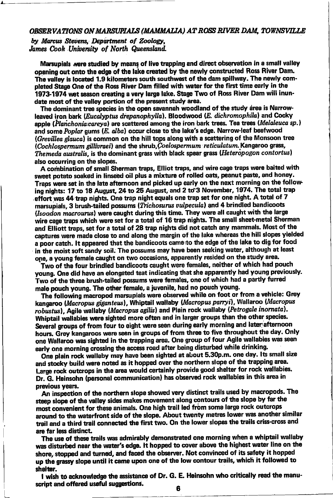#### OBSERVATIONS ON MARSUPIALS (MAMMALIA) AT ROSS RIVER DAM. TOWNSVILLE

by Marcus Stevens, Department of Zoology. James Cook University of North Queensland.

Marsupials were studied by means of live trapping and direct observation in a small vallev opening out onto the edge of the lake created by the newly constructed Ross River Dam. The valley is located 1.9 kilometers south southwest of the dam spillway. The newly completed Stage One of the Ross River Dam filled with water for the first time early in the 1973-1974 wet season creating a very large lake. Stage Two of Ross River Dam will inundate most of the valley portion of the present study area.

The dominant tree species in the open savannah woodland of the study área is Narrowleaved iron bark (Eucalyptus drepanophylla). Bloodwood (E. dichromophila) and Cocky apple (Planchonia careya) are scattered among the iron bark trees. Tea trees (Melaleuca sp.) and some Poplar gums (E. alba) occur close to the lake's edge. Narrow-leaf beefwood (Grevillea glauca) is common on the hill tops along with a scattering of the Monsoon tree (Cochlospermum gillivraei) and the shrub.Coelospermum reticulatum. Kangaroo grass, Themeda australis, is the dominant grass with black spear grass (Heteropogon contortus) also occurring on the slopes.

A combination of small Sherman traps, Elliot traps, and wire cage traps were baited with sweet potato soaked in linseed oil plus a mixture of rolled oats, peanut paste, and honey. Traps were set in the late afternoon and picked up early on the next morning on the following nights: 17 to 18 August, 24 to 25 August, and 2 to 3 November, 1974. The total trap effort was 44 trap nights. One trap night equals one trap set for one night. A total of 7 marsupials, 3 brush-tailed possums (Trichosurus vulpecula) and 4 brindled bandicoots (Isoodon macrourus) were caught during this time. They were all caught with the large wire cage traps which were set for a total of 16 trap nights. The small sheet-metal Sherman and Elliott traps, set for a total of 28 trap nights did not catch any mammals. Most of the captures were made close to and along the margin of the lake whereas the hill slopes yielded a poor catch. It appeared that the bandicoots came to the edge of the lake to dig for food in the moist soft sandy soil. The possums may have been seeking water, although at least one, a young female caught on two occasions, apparently resided on the study area.

Two of the four brindled bandicoots caught were females, neither of which had pouch voung. One did have an elongated teat indicating that she apparently had young previously. Two of the three brush-tailed possums were females, one of which had a partly furred male pouch young. The other female, a juvenile, had no pouch young.

The following macropod marsupials were observed while on foot or from a vehicle: Grey kangaroo (Macropus giganteus). Whiptail wallaby (Macropus parryi). Wallaroo (Macropus robustus), Agile wallaby (Macropus agilis) and Plain rock wallaby (Petrogale inornata). Whiptail wallabies were sighted more often and in larger groups than the other species. Several groups of from four to eight were seen during early morning and later afternoon hours. Grey kangaroos were seen in groups of from three to five throughout the day. Only one Wallaroo was sighted in the trapping area. One group of four Agile wallabies was seen early one morning crossing the access road after being disturbed while drinking.

One plain rock wallaby may have been sighted at about 5.30p.m. one day. Its small size and stocky build were noted as it hopped over the northern slope of the trapping area. Large rock outcrops in the area would certainly provide good shelter for rock wallabies. Dr. G. Heinsohn (personal communication) has observed rock wallabies in this area in previous years.

An inspection of the northern slope showed very distinct trails used by macropods. The steep slope of the valley sides makes movement along contours of the slope by far the most convenient for these animals. One high trail led from some large rock outcrops around to the waterfront side of the slope. About twenty metres lower was another similar trail and a third trail connected the first two. On the lower slopes the trails criss-cross and are far less distinct.

The use of these trails was admirably demonstrated one morning when a whiptail wallaby was disturbed near the water's edge. It hopped to cover above the highest water line on the shore, stopped and turned, and faced the observer. Not convinced of its safety it hopped up the grassy slope until it came upon one of the low contour trails, which it followed to shelter.

I wish to acknowledge the assistance of Dr. G. E. Heinsohn who critically read the manuscript and offered useful suggestions.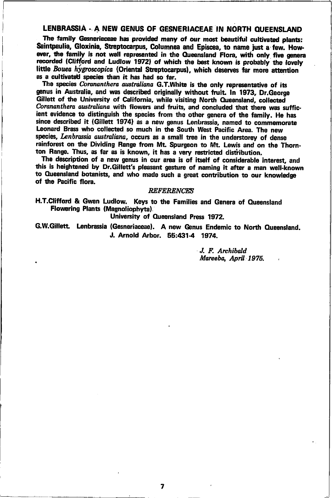### LENBRASSIA - A NEW GENUS OF GESNERIACEAE IN NORTH QUEENSLAND

The family Gesneriaceae has provided many of our most beautiful cultivated plants: Saintpaulia. Gloxinia. Streptocarpus. Columnea and Episcea, to name just a few. However, the family is not well represented in the Queensland Flora, with only five genera recorded (Clifford and Ludlow 1972) of which the best known is probably the lovely little Bouen hygroscopica (Oriental Streptocarpus), which deserves far more attention as a cultivated species than it has had so far.

The species Corananthera australiana G.T.White is the only representative of its genus in Australia. and was described originally without fruit. In 1973, Dr. George Gillett of the University of California, while visiting North Queensland, collected Corananthera australiana with flowers and fruits, and concluded that there was sufficient evidence to distinguish the species from the other genera of the family. He has since described it (Gillett 1974) as a new genus Lenbrassia, named to commemorate Leonard Brass who collected so much in the South West Pacific Area. The new species, Lenbrassia australiana, occurs as a small tree in the understorey of dense rainforest on the Dividing Range from Mt. Spurgeon to Mt. Lewis and on the Thornton Range. Thus, as far as is known, it has a very restricted distribution.

The description of a new genus in our area is of itself of considerable interest, and this is heightened by Dr. Gillett's pleasant gesture of naming it after a man well-known to Queensland botanists, and who made such a great contribution to our knowledge of the Pacific flora.

#### **REFERENCES**

H.T.Clifford & Gwen Ludlow. Keys to the Families and Genera of Queensland Flowering Plants (Magnoliophyta).

University of Queensland Press 1972.

G.W.Gillett. Lenbrassia (Gesneriaceae). A new Genus Endemic to North Queensland. J. Arnold Arbor. 55:431-4 1974.

> J. F. Archibald Mareeba, April 1975.